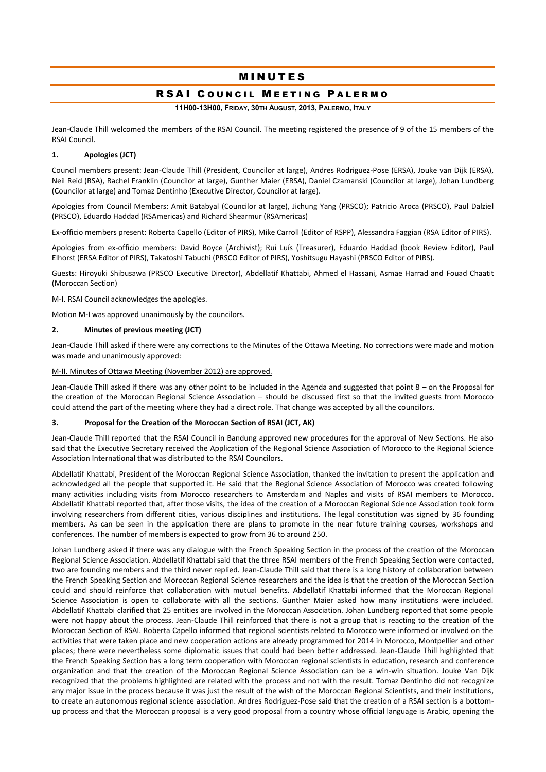# **MINUTES**

# RSAI COUNCIL MEETING PALERMO

**11H00-13H00, FRIDAY, 30TH AUGUST, 2013, PALERMO, ITALY**

Jean-Claude Thill welcomed the members of the RSAI Council. The meeting registered the presence of 9 of the 15 members of the RSAI Council.

# **1. Apologies (JCT)**

Council members present: Jean-Claude Thill (President, Councilor at large), Andres Rodriguez-Pose (ERSA), Jouke van Dijk (ERSA), Neil Reid (RSA), Rachel Franklin (Councilor at large), Gunther Maier (ERSA), Daniel Czamanski (Councilor at large), Johan Lundberg (Councilor at large) and Tomaz Dentinho (Executive Director, Councilor at large).

Apologies from Council Members: Amit Batabyal (Councilor at large), Jichung Yang (PRSCO); Patricio Aroca (PRSCO), Paul Dalziel (PRSCO), Eduardo Haddad (RSAmericas) and Richard Shearmur (RSAmericas)

Ex-officio members present: Roberta Capello (Editor of PIRS), Mike Carroll (Editor of RSPP), Alessandra Faggian (RSA Editor of PIRS).

Apologies from ex-officio members: David Boyce (Archivist); Rui Luís (Treasurer), Eduardo Haddad (book Review Editor), Paul Elhorst (ERSA Editor of PIRS), Takatoshi Tabuchi (PRSCO Editor of PIRS), Yoshitsugu Hayashi (PRSCO Editor of PIRS).

Guests: Hiroyuki Shibusawa (PRSCO Executive Director), Abdellatif Khattabi, Ahmed el Hassani, Asmae Harrad and Fouad Chaatit (Moroccan Section)

# M-I. RSAI Council acknowledges the apologies.

Motion M-I was approved unanimously by the councilors.

#### **2. Minutes of previous meeting (JCT)**

Jean-Claude Thill asked if there were any corrections to the Minutes of the Ottawa Meeting. No corrections were made and motion was made and unanimously approved:

#### M-II. Minutes of Ottawa Meeting (November 2012) are approved.

Jean-Claude Thill asked if there was any other point to be included in the Agenda and suggested that point 8 – on the Proposal for the creation of the Moroccan Regional Science Association – should be discussed first so that the invited guests from Morocco could attend the part of the meeting where they had a direct role. That change was accepted by all the councilors.

# **3. Proposal for the Creation of the Moroccan Section of RSAI (JCT, AK)**

Jean-Claude Thill reported that the RSAI Council in Bandung approved new procedures for the approval of New Sections. He also said that the Executive Secretary received the Application of the Regional Science Association of Morocco to the Regional Science Association International that was distributed to the RSAI Councilors.

Abdellatif Khattabi, President of the Moroccan Regional Science Association, thanked the invitation to present the application and acknowledged all the people that supported it. He said that the Regional Science Association of Morocco was created following many activities including visits from Morocco researchers to Amsterdam and Naples and visits of RSAI members to Morocco. Abdellatif Khattabi reported that, after those visits, the idea of the creation of a Moroccan Regional Science Association took form involving researchers from different cities, various disciplines and institutions. The legal constitution was signed by 36 founding members. As can be seen in the application there are plans to promote in the near future training courses, workshops and conferences. The number of members is expected to grow from 36 to around 250.

Johan Lundberg asked if there was any dialogue with the French Speaking Section in the process of the creation of the Moroccan Regional Science Association. Abdellatif Khattabi said that the three RSAI members of the French Speaking Section were contacted, two are founding members and the third never replied. Jean-Claude Thill said that there is a long history of collaboration between the French Speaking Section and Moroccan Regional Science researchers and the idea is that the creation of the Moroccan Section could and should reinforce that collaboration with mutual benefits. Abdellatif Khattabi informed that the Moroccan Regional Science Association is open to collaborate with all the sections. Gunther Maier asked how many institutions were included. Abdellatif Khattabi clarified that 25 entities are involved in the Moroccan Association. Johan Lundberg reported that some people were not happy about the process. Jean-Claude Thill reinforced that there is not a group that is reacting to the creation of the Moroccan Section of RSAI. Roberta Capello informed that regional scientists related to Morocco were informed or involved on the activities that were taken place and new cooperation actions are already programmed for 2014 in Morocco, Montpellier and other places; there were nevertheless some diplomatic issues that could had been better addressed. Jean-Claude Thill highlighted that the French Speaking Section has a long term cooperation with Moroccan regional scientists in education, research and conference organization and that the creation of the Moroccan Regional Science Association can be a win-win situation. Jouke Van Dijk recognized that the problems highlighted are related with the process and not with the result. Tomaz Dentinho did not recognize any major issue in the process because it was just the result of the wish of the Moroccan Regional Scientists, and their institutions, to create an autonomous regional science association. Andres Rodriguez-Pose said that the creation of a RSAI section is a bottomup process and that the Moroccan proposal is a very good proposal from a country whose official language is Arabic, opening the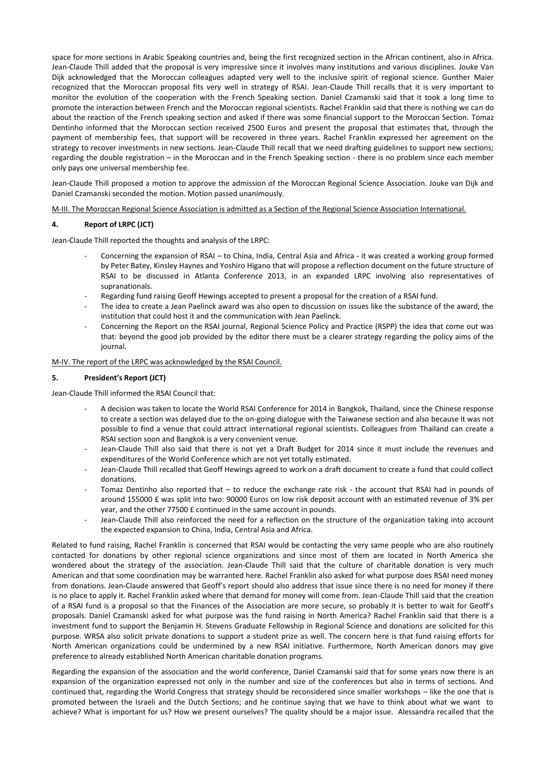space for more sections in Arabic Speaking countries and, being the first recognized section in the African continent, also in Africa. Jean-Claude Thill added that the proposal is very impressive since it involves many institutions and various disciplines. Jouke Van Dijk acknowledged that the Moroccan colleagues adapted very well to the inclusive spirit of regional science. Gunther Maier recognized that the Moroccan proposal fits very well in strategy of RSAI. Jean-Claude Thill recalls that it is very important to monitor the evolution of the cooperation with the French Speaking section. Daniel Czamanski said that it took a long time to promote the interaction between French and the Moroccan regional scientists. Rachel Franklin said that there is nothing we can do about the reaction of the French speaking section and asked if there was some financial support to the Moroccan Section. Tomaz Dentinho informed that the Moroccan section received 2500 Euros and present the proposal that estimates that, through the payment of membership fees, that support will be recovered in three years. Rachel Franklin expressed her agreement on the strategy to recover investments in new sections. Jean-Claude Thill recall that we need drafting guidelines to support new sections; regarding the double registration – in the Moroccan and in the French Speaking section - there is no problem since each member only pays one universal membership fee.

Jean-Claude Thill proposed a motion to approve the admission of the Moroccan Regional Science Association. Jouke van Dijk and Daniel Czamanski seconded the motion. Motion passed unanimously.

M-III. The Moroccan Regional Science Association is admitted as a Section of the Regional Science Association International.

# **4. Report of LRPC (JCT)**

Jean-Claude Thill reported the thoughts and analysis of the LRPC:

- Concerning the expansion of RSAI to China, India, Central Asia and Africa it was created a working group formed by Peter Batey, Kinsley Haynes and Yoshiro Higano that will propose a reflection document on the future structure of RSAI to be discussed in Atlanta Conference 2013, in an expanded LRPC involving also representatives of supranationals.
- Regarding fund raising Geoff Hewings accepted to present a proposal for the creation of a RSAI fund.
- The idea to create a Jean Paelinck award was also open to discussion on issues like the substance of the award, the institution that could host it and the communication with Jean Paelinck.
- Concerning the Report on the RSAI journal, Regional Science Policy and Practice (RSPP) the idea that come out was that: beyond the good job provided by the editor there must be a clearer strategy regarding the policy aims of the journal.

M-IV. The report of the LRPC was acknowledged by the RSAI Council.

# **5. President's Report (JCT)**

Jean-Claude Thill informed the RSAI Council that:

- A decision was taken to locate the World RSAI Conference for 2014 in Bangkok, Thailand, since the Chinese response to create a section was delayed due to the on-going dialogue with the Taiwanese section and also because it was not possible to find a venue that could attract international regional scientists. Colleagues from Thailand can create a RSAI section soon and Bangkok is a very convenient venue.
- Jean-Claude Thill also said that there is not yet a Draft Budget for 2014 since it must include the revenues and expenditures of the World Conference which are not yet totally estimated.
- Jean-Claude Thill recalled that Geoff Hewings agreed to work on a draft document to create a fund that could collect donations.
- Tomaz Dentinho also reported that to reduce the exchange rate risk the account that RSAI had in pounds of around 155000 £ was split into two: 90000 Euros on low risk deposit account with an estimated revenue of 3% per year, and the other 77500 £ continued in the same account in pounds.
- Jean-Claude Thill also reinforced the need for a reflection on the structure of the organization taking into account the expected expansion to China, India, Central Asia and Africa.

Related to fund raising, Rachel Franklin is concerned that RSAI would be contacting the very same people who are also routinely contacted for donations by other regional science organizations and since most of them are located in North America she wondered about the strategy of the association. Jean-Claude Thill said that the culture of charitable donation is very much American and that some coordination may be warranted here. Rachel Franklin also asked for what purpose does RSAI need money from donations. Jean-Claude answered that Geoff's report should also address that issue since there is no need for money if there is no place to apply it. Rachel Franklin asked where that demand for money will come from. Jean-Claude Thill said that the creation of a RSAI fund is a proposal so that the Finances of the Association are more secure, so probably it is better to wait for Geoff's proposals. Daniel Czamanski asked for what purpose was the fund raising in North America? Rachel Franklin said that there is a investment fund to support the Benjamin H. Stevens Graduate Fellowship in Regional Science and donations are solicited for this purpose. WRSA also solicit private donations to support a student prize as well. The concern here is that fund raising efforts for North American organizations could be undermined by a new RSAI initiative. Furthermore, North American donors may give preference to already established North American charitable donation programs.

Regarding the expansion of the association and the world conference, Daniel Czamanski said that for some years now there is an expansion of the organization expressed not only in the number and size of the conferences but also in terms of sections. And continued that, regarding the World Congress that strategy should be reconsidered since smaller workshops – like the one that is promoted between the Israeli and the Dutch Sections; and he continue saying that we have to think about what we want to achieve? What is important for us? How we present ourselves? The quality should be a major issue. Alessandra recalled that the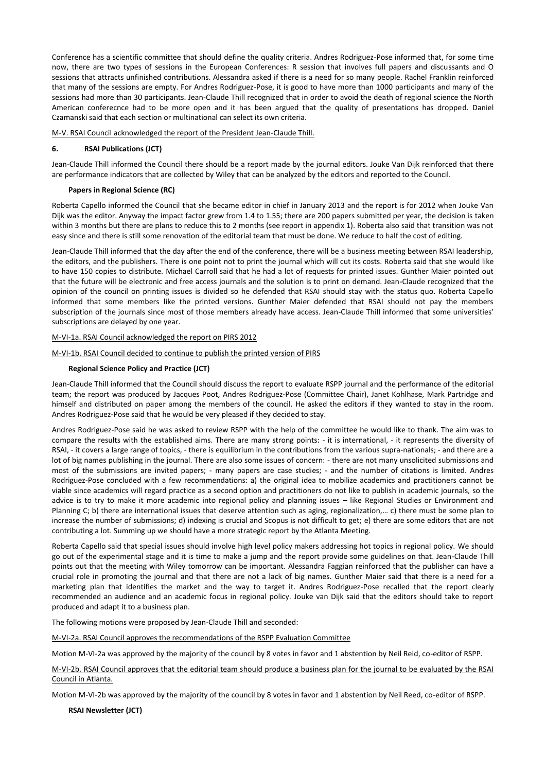Conference has a scientific committee that should define the quality criteria. Andres Rodriguez-Pose informed that, for some time now, there are two types of sessions in the European Conferences: R session that involves full papers and discussants and O sessions that attracts unfinished contributions. Alessandra asked if there is a need for so many people. Rachel Franklin reinforced that many of the sessions are empty. For Andres Rodriguez-Pose, it is good to have more than 1000 participants and many of the sessions had more than 30 participants. Jean-Claude Thill recognized that in order to avoid the death of regional science the North American conferecnce had to be more open and it has been argued that the quality of presentations has dropped. Daniel Czamanski said that each section or multinational can select its own criteria.

M-V. RSAI Council acknowledged the report of the President Jean-Claude Thill.

# **6. RSAI Publications (JCT)**

Jean-Claude Thill informed the Council there should be a report made by the journal editors. Jouke Van Dijk reinforced that there are performance indicators that are collected by Wiley that can be analyzed by the editors and reported to the Council.

# **Papers in Regional Science (RC)**

Roberta Capello informed the Council that she became editor in chief in January 2013 and the report is for 2012 when Jouke Van Dijk was the editor. Anyway the impact factor grew from 1.4 to 1.55; there are 200 papers submitted per year, the decision is taken within 3 months but there are plans to reduce this to 2 months (see report in appendix 1). Roberta also said that transition was not easy since and there is still some renovation of the editorial team that must be done. We reduce to half the cost of editing.

Jean-Claude Thill informed that the day after the end of the conference, there will be a business meeting between RSAI leadership, the editors, and the publishers. There is one point not to print the journal which will cut its costs. Roberta said that she would like to have 150 copies to distribute. Michael Carroll said that he had a lot of requests for printed issues. Gunther Maier pointed out that the future will be electronic and free access journals and the solution is to print on demand. Jean-Claude recognized that the opinion of the council on printing issues is divided so he defended that RSAI should stay with the status quo. Roberta Capello informed that some members like the printed versions. Gunther Maier defended that RSAI should not pay the members subscription of the journals since most of those members already have access. Jean-Claude Thill informed that some universities' subscriptions are delayed by one year.

# M-VI-1a. RSAI Council acknowledged the report on PIRS 2012

#### M-VI-1b. RSAI Council decided to continue to publish the printed version of PIRS

#### **Regional Science Policy and Practice (JCT)**

Jean-Claude Thill informed that the Council should discuss the report to evaluate RSPP journal and the performance of the editorial team; the report was produced by Jacques Poot, Andres Rodriguez-Pose (Committee Chair), Janet Kohlhase, Mark Partridge and himself and distributed on paper among the members of the council. He asked the editors if they wanted to stay in the room. Andres Rodriguez-Pose said that he would be very pleased if they decided to stay.

Andres Rodriguez-Pose said he was asked to review RSPP with the help of the committee he would like to thank. The aim was to compare the results with the established aims. There are many strong points: - it is international, - it represents the diversity of RSAI, - it covers a large range of topics, - there is equilibrium in the contributions from the various supra-nationals; - and there are a lot of big names publishing in the journal. There are also some issues of concern: - there are not many unsolicited submissions and most of the submissions are invited papers; - many papers are case studies; - and the number of citations is limited. Andres Rodriguez-Pose concluded with a few recommendations: a) the original idea to mobilize academics and practitioners cannot be viable since academics will regard practice as a second option and practitioners do not like to publish in academic journals, so the advice is to try to make it more academic into regional policy and planning issues – like Regional Studies or Environment and Planning C; b) there are international issues that deserve attention such as aging, regionalization,… c) there must be some plan to increase the number of submissions; d) indexing is crucial and Scopus is not difficult to get; e) there are some editors that are not contributing a lot. Summing up we should have a more strategic report by the Atlanta Meeting.

Roberta Capello said that special issues should involve high level policy makers addressing hot topics in regional policy. We should go out of the experimental stage and it is time to make a jump and the report provide some guidelines on that. Jean-Claude Thill points out that the meeting with Wiley tomorrow can be important. Alessandra Faggian reinforced that the publisher can have a crucial role in promoting the journal and that there are not a lack of big names. Gunther Maier said that there is a need for a marketing plan that identifies the market and the way to target it. Andres Rodriguez-Pose recalled that the report clearly recommended an audience and an academic focus in regional policy. Jouke van Dijk said that the editors should take to report produced and adapt it to a business plan.

The following motions were proposed by Jean-Claude Thill and seconded:

M-VI-2a. RSAI Council approves the recommendations of the RSPP Evaluation Committee

Motion M-VI-2a was approved by the majority of the council by 8 votes in favor and 1 abstention by Neil Reid, co-editor of RSPP.

M-VI-2b. RSAI Council approves that the editorial team should produce a business plan for the journal to be evaluated by the RSAI Council in Atlanta.

Motion M-VI-2b was approved by the majority of the council by 8 votes in favor and 1 abstention by Neil Reed, co-editor of RSPP.

**RSAI Newsletter (JCT)**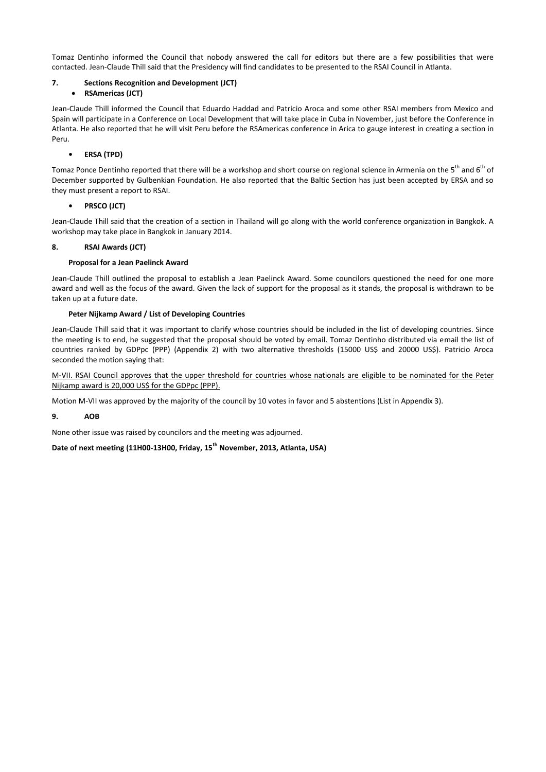Tomaz Dentinho informed the Council that nobody answered the call for editors but there are a few possibilities that were contacted. Jean-Claude Thill said that the Presidency will find candidates to be presented to the RSAI Council in Atlanta.

# **7. Sections Recognition and Development (JCT)**

# **RSAmericas (JCT)**

Jean-Claude Thill informed the Council that Eduardo Haddad and Patricio Aroca and some other RSAI members from Mexico and Spain will participate in a Conference on Local Development that will take place in Cuba in November, just before the Conference in Atlanta. He also reported that he will visit Peru before the RSAmericas conference in Arica to gauge interest in creating a section in Peru.

# **• ERSA (TPD)**

Tomaz Ponce Dentinho reported that there will be a workshop and short course on regional science in Armenia on the 5<sup>th</sup> and 6<sup>th</sup> of December supported by Gulbenkian Foundation. He also reported that the Baltic Section has just been accepted by ERSA and so they must present a report to RSAI.

# **• PRSCO (JCT)**

Jean-Claude Thill said that the creation of a section in Thailand will go along with the world conference organization in Bangkok. A workshop may take place in Bangkok in January 2014.

# **8. RSAI Awards (JCT)**

# **Proposal for a Jean Paelinck Award**

Jean-Claude Thill outlined the proposal to establish a Jean Paelinck Award. Some councilors questioned the need for one more award and well as the focus of the award. Given the lack of support for the proposal as it stands, the proposal is withdrawn to be taken up at a future date.

# **Peter Nijkamp Award / List of Developing Countries**

Jean-Claude Thill said that it was important to clarify whose countries should be included in the list of developing countries. Since the meeting is to end, he suggested that the proposal should be voted by email. Tomaz Dentinho distributed via email the list of countries ranked by GDPpc (PPP) (Appendix 2) with two alternative thresholds (15000 US\$ and 20000 US\$). Patricio Aroca seconded the motion saying that:

M-VII. RSAI Council approves that the upper threshold for countries whose nationals are eligible to be nominated for the Peter Nijkamp award is 20,000 US\$ for the GDPpc (PPP).

Motion M-VII was approved by the majority of the council by 10 votes in favor and 5 abstentions (List in Appendix 3).

# **9. AOB**

None other issue was raised by councilors and the meeting was adjourned.

**Date of next meeting (11H00-13H00, Friday, 15th November, 2013, Atlanta, USA)**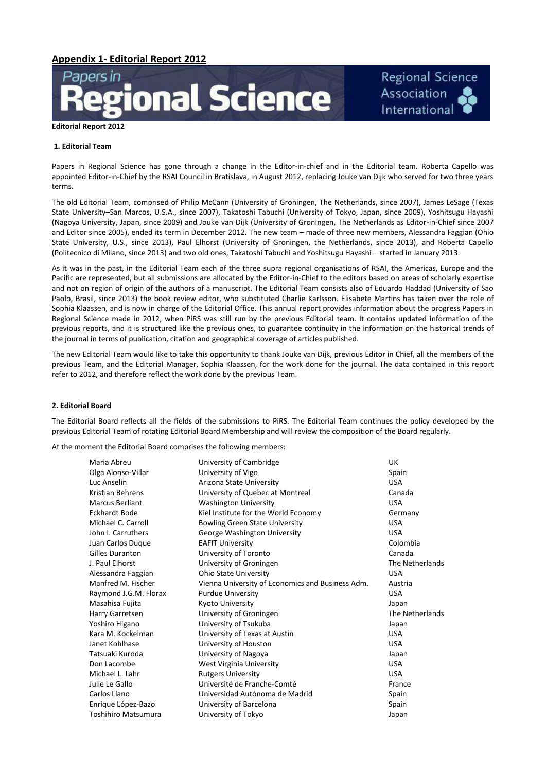

#### **1. Editorial Team**

Papers in Regional Science has gone through a change in the Editor-in-chief and in the Editorial team. Roberta Capello was appointed Editor-in-Chief by the RSAI Council in Bratislava, in August 2012, replacing Jouke van Dijk who served for two three years terms.

**Regional Science** 

Association International

The old Editorial Team, comprised of Philip McCann (University of Groningen, The Netherlands, since 2007), James LeSage (Texas State University–San Marcos, U.S.A., since 2007), Takatoshi Tabuchi (University of Tokyo, Japan, since 2009), Yoshitsugu Hayashi (Nagoya University, Japan, since 2009) and Jouke van Dijk (University of Groningen, The Netherlands as Editor-in-Chief since 2007 and Editor since 2005), ended its term in December 2012. The new team – made of three new members, Alessandra Faggian (Ohio State University, U.S., since 2013), Paul Elhorst (University of Groningen, the Netherlands, since 2013), and Roberta Capello (Politecnico di Milano, since 2013) and two old ones, Takatoshi Tabuchi and Yoshitsugu Hayashi – started in January 2013.

As it was in the past, in the Editorial Team each of the three supra regional organisations of RSAI, the Americas, Europe and the Pacific are represented, but all submissions are allocated by the Editor-in-Chief to the editors based on areas of scholarly expertise and not on region of origin of the authors of a manuscript. The Editorial Team consists also of Eduardo Haddad (University of Sao Paolo, Brasil, since 2013) the book review editor, who substituted Charlie Karlsson. Elisabete Martins has taken over the role of Sophia Klaassen, and is now in charge of the Editorial Office. This annual report provides information about the progress Papers in Regional Science made in 2012, when PiRS was still run by the previous Editorial team. It contains updated information of the previous reports, and it is structured like the previous ones, to guarantee continuity in the information on the historical trends of the journal in terms of publication, citation and geographical coverage of articles published.

The new Editorial Team would like to take this opportunity to thank Jouke van Dijk, previous Editor in Chief, all the members of the previous Team, and the Editorial Manager, Sophia Klaassen, for the work done for the journal. The data contained in this report refer to 2012, and therefore reflect the work done by the previous Team.

# **2. Editorial Board**

The Editorial Board reflects all the fields of the submissions to PiRS. The Editorial Team continues the policy developed by the previous Editorial Team of rotating Editorial Board Membership and will review the composition of the Board regularly.

At the moment the Editorial Board comprises the following members:

| Maria Abreu             | University of Cambridge                          | UK              |
|-------------------------|--------------------------------------------------|-----------------|
| Olga Alonso-Villar      | University of Vigo                               | Spain           |
| Luc Anselin             | Arizona State University                         | <b>USA</b>      |
| <b>Kristian Behrens</b> | University of Quebec at Montreal                 | Canada          |
| <b>Marcus Berliant</b>  | <b>Washington University</b>                     | <b>USA</b>      |
| Eckhardt Bode           | Kiel Institute for the World Economy             | Germany         |
| Michael C. Carroll      | <b>Bowling Green State University</b>            | <b>USA</b>      |
| John I. Carruthers      | George Washington University                     | <b>USA</b>      |
| Juan Carlos Dugue       | <b>EAFIT University</b>                          | Colombia        |
| <b>Gilles Duranton</b>  | University of Toronto                            | Canada          |
| J. Paul Elhorst         | University of Groningen                          | The Netherlands |
| Alessandra Faggian      | <b>Ohio State University</b>                     | <b>USA</b>      |
| Manfred M. Fischer      | Vienna University of Economics and Business Adm. | Austria         |
| Raymond J.G.M. Florax   | <b>Purdue University</b>                         | <b>USA</b>      |
| Masahisa Fujita         | <b>Kyoto University</b>                          | Japan           |
| Harry Garretsen         | University of Groningen                          | The Netherlands |
| Yoshiro Higano          | University of Tsukuba                            | Japan           |
| Kara M. Kockelman       | University of Texas at Austin                    | <b>USA</b>      |
| Janet Kohlhase          | University of Houston                            | <b>USA</b>      |
| Tatsuaki Kuroda         | University of Nagoya                             | Japan           |
| Don Lacombe             | West Virginia University                         | <b>USA</b>      |
| Michael L. Lahr         | <b>Rutgers University</b>                        | <b>USA</b>      |
| Julie Le Gallo          | Université de Franche-Comté                      | France          |
| Carlos Llano            | Universidad Autónoma de Madrid                   | Spain           |
| Enrique López-Bazo      | University of Barcelona                          | Spain           |
| Toshihiro Matsumura     | University of Tokyo                              | Japan           |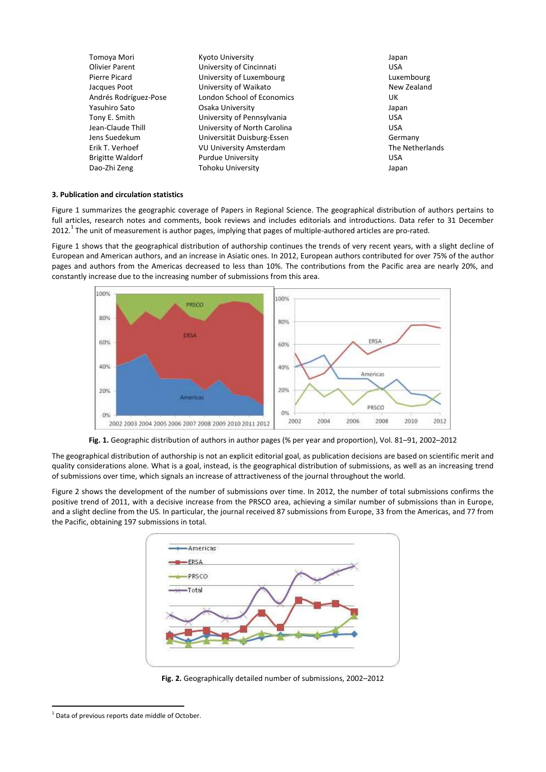| Tomoya Mori             | Kyoto University                  | Japan           |
|-------------------------|-----------------------------------|-----------------|
| <b>Olivier Parent</b>   | University of Cincinnati          | <b>USA</b>      |
| Pierre Picard           | University of Luxembourg          | Luxembourg      |
| Jacques Poot            | University of Waikato             | New Zealand     |
| Andrés Rodríguez-Pose   | <b>London School of Economics</b> | UK              |
| Yasuhiro Sato           | Osaka University                  | Japan           |
| Tony E. Smith           | University of Pennsylvania        | <b>USA</b>      |
| Jean-Claude Thill       | University of North Carolina      | <b>USA</b>      |
| Jens Suedekum           | Universität Duisburg-Essen        | Germany         |
| Erik T. Verhoef         | <b>VU University Amsterdam</b>    | The Netherlands |
| <b>Brigitte Waldorf</b> | <b>Purdue University</b>          | <b>USA</b>      |
| Dao-Zhi Zeng            | Tohoku University                 | Japan           |

# **3. Publication and circulation statistics**

Figure 1 summarizes the geographic coverage of Papers in Regional Science. The geographical distribution of authors pertains to full articles, research notes and comments, book reviews and includes editorials and introductions. Data refer to 31 December 2012.<sup>1</sup> The unit of measurement is author pages, implying that pages of multiple-authored articles are pro-rated.

Figure 1 shows that the geographical distribution of authorship continues the trends of very recent years, with a slight decline of European and American authors, and an increase in Asiatic ones. In 2012, European authors contributed for over 75% of the author pages and authors from the Americas decreased to less than 10%. The contributions from the Pacific area are nearly 20%, and constantly increase due to the increasing number of submissions from this area.



**Fig. 1.** Geographic distribution of authors in author pages (% per year and proportion), Vol. 81–91, 2002–2012

The geographical distribution of authorship is not an explicit editorial goal, as publication decisions are based on scientific merit and quality considerations alone. What is a goal, instead, is the geographical distribution of submissions, as well as an increasing trend of submissions over time, which signals an increase of attractiveness of the journal throughout the world.

Figure 2 shows the development of the number of submissions over time. In 2012, the number of total submissions confirms the positive trend of 2011, with a decisive increase from the PRSCO area, achieving a similar number of submissions than in Europe, and a slight decline from the US. In particular, the journal received 87 submissions from Europe, 33 from the Americas, and 77 from the Pacific, obtaining 197 submissions in total.



**Fig. 2.** Geographically detailed number of submissions, 2002–2012

**.** 

<sup>&</sup>lt;sup>1</sup> Data of previous reports date middle of October.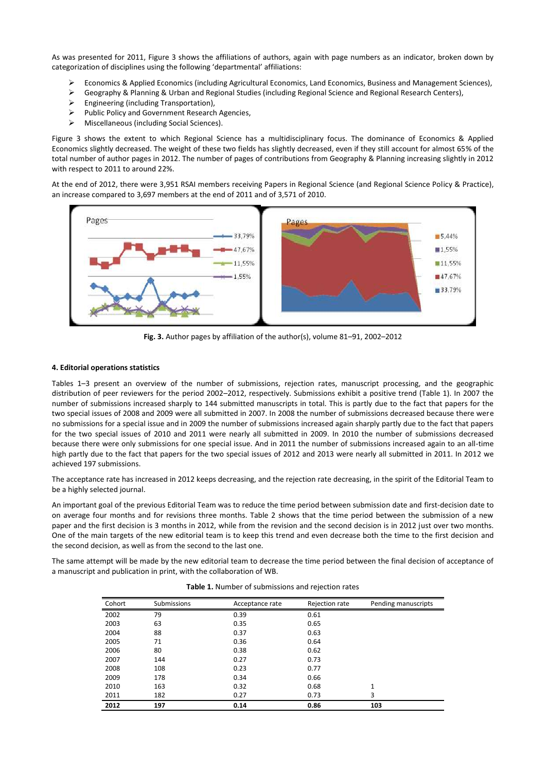As was presented for 2011, Figure 3 shows the affiliations of authors, again with page numbers as an indicator, broken down by categorization of disciplines using the following 'departmental' affiliations:

- Economics & Applied Economics (including Agricultural Economics, Land Economics, Business and Management Sciences),
- Geography & Planning & Urban and Regional Studies (including Regional Science and Regional Research Centers),
- $\triangleright$  Engineering (including Transportation),
- $\triangleright$  Public Policy and Government Research Agencies,
- Miscellaneous (including Social Sciences).

Figure 3 shows the extent to which Regional Science has a multidisciplinary focus. The dominance of Economics & Applied Economics slightly decreased. The weight of these two fields has slightly decreased, even if they still account for almost 65% of the total number of author pages in 2012. The number of pages of contributions from Geography & Planning increasing slightly in 2012 with respect to 2011 to around 22%.

At the end of 2012, there were 3,951 RSAI members receiving Papers in Regional Science (and Regional Science Policy & Practice), an increase compared to 3,697 members at the end of 2011 and of 3,571 of 2010.



**Fig. 3.** Author pages by affiliation of the author(s), volume 81–91, 2002–2012

#### **4. Editorial operations statistics**

Tables 1–3 present an overview of the number of submissions, rejection rates, manuscript processing, and the geographic distribution of peer reviewers for the period 2002–2012, respectively. Submissions exhibit a positive trend (Table 1). In 2007 the number of submissions increased sharply to 144 submitted manuscripts in total. This is partly due to the fact that papers for the two special issues of 2008 and 2009 were all submitted in 2007. In 2008 the number of submissions decreased because there were no submissions for a special issue and in 2009 the number of submissions increased again sharply partly due to the fact that papers for the two special issues of 2010 and 2011 were nearly all submitted in 2009. In 2010 the number of submissions decreased because there were only submissions for one special issue. And in 2011 the number of submissions increased again to an all-time high partly due to the fact that papers for the two special issues of 2012 and 2013 were nearly all submitted in 2011. In 2012 we achieved 197 submissions.

The acceptance rate has increased in 2012 keeps decreasing, and the rejection rate decreasing, in the spirit of the Editorial Team to be a highly selected journal.

An important goal of the previous Editorial Team was to reduce the time period between submission date and first-decision date to on average four months and for revisions three months. Table 2 shows that the time period between the submission of a new paper and the first decision is 3 months in 2012, while from the revision and the second decision is in 2012 just over two months. One of the main targets of the new editorial team is to keep this trend and even decrease both the time to the first decision and the second decision, as well as from the second to the last one.

The same attempt will be made by the new editorial team to decrease the time period between the final decision of acceptance of a manuscript and publication in print, with the collaboration of WB.

| Cohort | Submissions | Acceptance rate | Rejection rate | Pending manuscripts |
|--------|-------------|-----------------|----------------|---------------------|
| 2002   | 79          | 0.39            | 0.61           |                     |
| 2003   | 63          | 0.35            | 0.65           |                     |
| 2004   | 88          | 0.37            | 0.63           |                     |
| 2005   | 71          | 0.36            | 0.64           |                     |
| 2006   | 80          | 0.38            | 0.62           |                     |
| 2007   | 144         | 0.27            | 0.73           |                     |
| 2008   | 108         | 0.23            | 0.77           |                     |
| 2009   | 178         | 0.34            | 0.66           |                     |
| 2010   | 163         | 0.32            | 0.68           | $\mathbf{1}$        |
| 2011   | 182         | 0.27            | 0.73           | 3                   |
| 2012   | 197         | 0.14            | 0.86           | 103                 |

**Table 1.** Number of submissions and rejection rates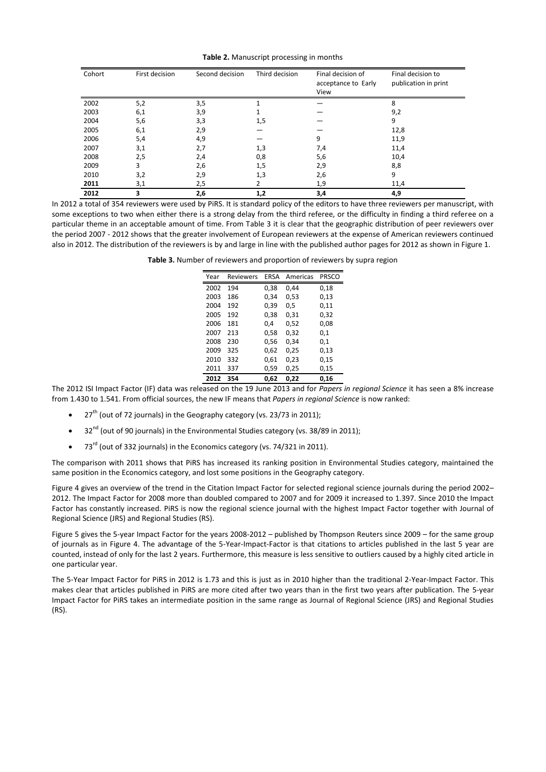#### **Table 2.** Manuscript processing in months

| Cohort | First decision | Second decision | Third decision | Final decision of<br>acceptance to Early<br>View | Final decision to<br>publication in print |
|--------|----------------|-----------------|----------------|--------------------------------------------------|-------------------------------------------|
| 2002   | 5,2            | 3,5             |                |                                                  | 8                                         |
| 2003   | 6,1            | 3,9             |                |                                                  | 9,2                                       |
| 2004   | 5,6            | 3,3             | 1,5            |                                                  | 9                                         |
| 2005   | 6,1            | 2,9             |                |                                                  | 12,8                                      |
| 2006   | 5,4            | 4,9             |                | 9                                                | 11,9                                      |
| 2007   | 3,1            | 2,7             | 1,3            | 7,4                                              | 11,4                                      |
| 2008   | 2,5            | 2,4             | 0,8            | 5,6                                              | 10,4                                      |
| 2009   | ς              | 2,6             | 1,5            | 2,9                                              | 8,8                                       |
| 2010   | 3,2            | 2,9             | 1,3            | 2,6                                              | 9                                         |
| 2011   | 3,1            | 2,5             |                | 1,9                                              | 11,4                                      |
| 2012   | 3              | 2,6             | 1,2            | 3,4                                              | 4,9                                       |

In 2012 a total of 354 reviewers were used by PiRS. It is standard policy of the editors to have three reviewers per manuscript, with some exceptions to two when either there is a strong delay from the third referee, or the difficulty in finding a third referee on a particular theme in an acceptable amount of time. From Table 3 it is clear that the geographic distribution of peer reviewers over the period 2007 - 2012 shows that the greater involvement of European reviewers at the expense of American reviewers continued also in 2012. The distribution of the reviewers is by and large in line with the published author pages for 2012 as shown in Figure 1.

**Table 3.** Number of reviewers and proportion of reviewers by supra region

| Year | <b>Reviewers</b> | <b>FRSA</b> | Americas | <b>PRSCO</b> |
|------|------------------|-------------|----------|--------------|
| 2002 | 194              | 0.38        | 0.44     | 0,18         |
| 2003 | 186              | 0.34        | 0.53     | 0,13         |
| 2004 | 192              | 0.39        | 0.5      | 0,11         |
| 2005 | 192              | 0.38        | 0.31     | 0,32         |
| 2006 | 181              | 0.4         | 0.52     | 0.08         |
| 2007 | 213              | 0,58        | 0.32     | 0,1          |
| 2008 | 230              | 0.56        | 0.34     | 0.1          |
| 2009 | 325              | 0,62        | 0,25     | 0,13         |
| 2010 | 332              | 0,61        | 0,23     | 0,15         |
| 2011 | 337              | 0,59        | 0,25     | 0,15         |
| 2012 | 354              | 0.62        | 0.22     | 0,16         |

The 2012 ISI Impact Factor (IF) data was released on the 19 June 2013 and for *Papers in regional Science* it has seen a 8% increase from 1.430 to 1.541. From official sources, the new IF means that *Papers in regional Science* is now ranked:

- 27<sup>th</sup> (out of 72 journals) in the Geography category (vs. 23/73 in 2011);
- $\bullet$  32<sup>nd</sup> (out of 90 journals) in the Environmental Studies category (vs. 38/89 in 2011);
- $\bullet$  73<sup>rd</sup> (out of 332 journals) in the Economics category (vs. 74/321 in 2011).

The comparison with 2011 shows that PiRS has increased its ranking position in Environmental Studies category, maintained the same position in the Economics category, and lost some positions in the Geography category.

Figure 4 gives an overview of the trend in the Citation Impact Factor for selected regional science journals during the period 2002– 2012. The Impact Factor for 2008 more than doubled compared to 2007 and for 2009 it increased to 1.397. Since 2010 the Impact Factor has constantly increased. PiRS is now the regional science journal with the highest Impact Factor together with Journal of Regional Science (JRS) and Regional Studies (RS).

Figure 5 gives the 5-year Impact Factor for the years 2008-2012 – published by Thompson Reuters since 2009 – for the same group of journals as in Figure 4. The advantage of the 5-Year-Impact-Factor is that citations to articles published in the last 5 year are counted, instead of only for the last 2 years. Furthermore, this measure is less sensitive to outliers caused by a highly cited article in one particular year.

The 5-Year Impact Factor for PiRS in 2012 is 1.73 and this is just as in 2010 higher than the traditional 2-Year-Impact Factor. This makes clear that articles published in PiRS are more cited after two years than in the first two years after publication. The 5-year Impact Factor for PiRS takes an intermediate position in the same range as Journal of Regional Science (JRS) and Regional Studies (RS).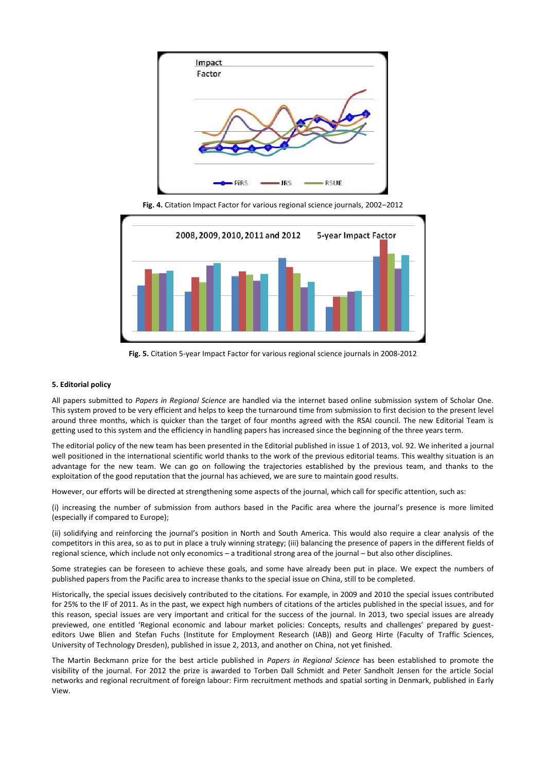

**Fig. 4.** Citation Impact Factor for various regional science journals, 2002–2012



**Fig. 5.** Citation 5-year Impact Factor for various regional science journals in 2008-2012

#### **5. Editorial policy**

All papers submitted to *Papers in Regional Science* are handled via the internet based online submission system of Scholar One. This system proved to be very efficient and helps to keep the turnaround time from submission to first decision to the present level around three months, which is quicker than the target of four months agreed with the RSAI council. The new Editorial Team is getting used to this system and the efficiency in handling papers has increased since the beginning of the three years term.

The editorial policy of the new team has been presented in the Editorial published in issue 1 of 2013, vol. 92. We inherited a journal well positioned in the international scientific world thanks to the work of the previous editorial teams. This wealthy situation is an advantage for the new team. We can go on following the trajectories established by the previous team, and thanks to the exploitation of the good reputation that the journal has achieved, we are sure to maintain good results.

However, our efforts will be directed at strengthening some aspects of the journal, which call for specific attention, such as:

(i) increasing the number of submission from authors based in the Pacific area where the journal's presence is more limited (especially if compared to Europe);

(ii) solidifying and reinforcing the journal's position in North and South America. This would also require a clear analysis of the competitors in this area, so as to put in place a truly winning strategy; (iii) balancing the presence of papers in the different fields of regional science, which include not only economics – a traditional strong area of the journal – but also other disciplines.

Some strategies can be foreseen to achieve these goals, and some have already been put in place. We expect the numbers of published papers from the Pacific area to increase thanks to the special issue on China, still to be completed.

Historically, the special issues decisively contributed to the citations. For example, in 2009 and 2010 the special issues contributed for 25% to the IF of 2011. As in the past, we expect high numbers of citations of the articles published in the special issues, and for this reason, special issues are very important and critical for the success of the journal. In 2013, two special issues are already previewed, one entitled 'Regional economic and labour market policies: Concepts, results and challenges' prepared by guesteditors Uwe Blien and Stefan Fuchs (Institute for Employment Research (IAB)) and Georg Hirte (Faculty of Traffic Sciences, University of Technology Dresden), published in issue 2, 2013, and another on China, not yet finished.

The Martin Beckmann prize for the best article published in *Papers in Regional Science* has been established to promote the visibility of the journal. For 2012 the prize is awarded to Torben Dall Schmidt and Peter Sandholt Jensen for the article Social networks and regional recruitment of foreign labour: Firm recruitment methods and spatial sorting in Denmark, published in Early View.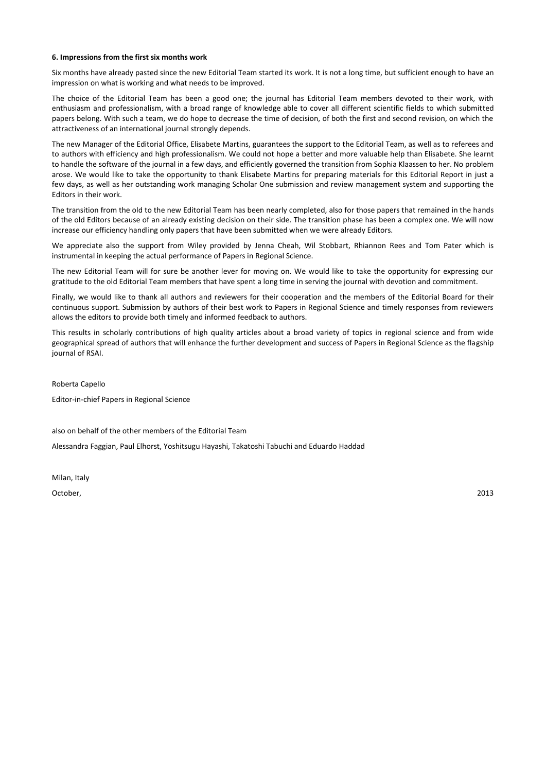#### **6. Impressions from the first six months work**

Six months have already pasted since the new Editorial Team started its work. It is not a long time, but sufficient enough to have an impression on what is working and what needs to be improved.

The choice of the Editorial Team has been a good one; the journal has Editorial Team members devoted to their work, with enthusiasm and professionalism, with a broad range of knowledge able to cover all different scientific fields to which submitted papers belong. With such a team, we do hope to decrease the time of decision, of both the first and second revision, on which the attractiveness of an international journal strongly depends.

The new Manager of the Editorial Office, Elisabete Martins, guarantees the support to the Editorial Team, as well as to referees and to authors with efficiency and high professionalism. We could not hope a better and more valuable help than Elisabete. She learnt to handle the software of the journal in a few days, and efficiently governed the transition from Sophia Klaassen to her. No problem arose. We would like to take the opportunity to thank Elisabete Martins for preparing materials for this Editorial Report in just a few days, as well as her outstanding work managing Scholar One submission and review management system and supporting the Editors in their work.

The transition from the old to the new Editorial Team has been nearly completed, also for those papers that remained in the hands of the old Editors because of an already existing decision on their side. The transition phase has been a complex one. We will now increase our efficiency handling only papers that have been submitted when we were already Editors.

We appreciate also the support from Wiley provided by Jenna Cheah, Wil Stobbart, Rhiannon Rees and Tom Pater which is instrumental in keeping the actual performance of Papers in Regional Science.

The new Editorial Team will for sure be another lever for moving on. We would like to take the opportunity for expressing our gratitude to the old Editorial Team members that have spent a long time in serving the journal with devotion and commitment.

Finally, we would like to thank all authors and reviewers for their cooperation and the members of the Editorial Board for their continuous support. Submission by authors of their best work to Papers in Regional Science and timely responses from reviewers allows the editors to provide both timely and informed feedback to authors.

This results in scholarly contributions of high quality articles about a broad variety of topics in regional science and from wide geographical spread of authors that will enhance the further development and success of Papers in Regional Science as the flagship journal of RSAI.

Roberta Capello

Editor-in-chief Papers in Regional Science

also on behalf of the other members of the Editorial Team

Alessandra Faggian, Paul Elhorst, Yoshitsugu Hayashi, Takatoshi Tabuchi and Eduardo Haddad

Milan, Italy

October, 2013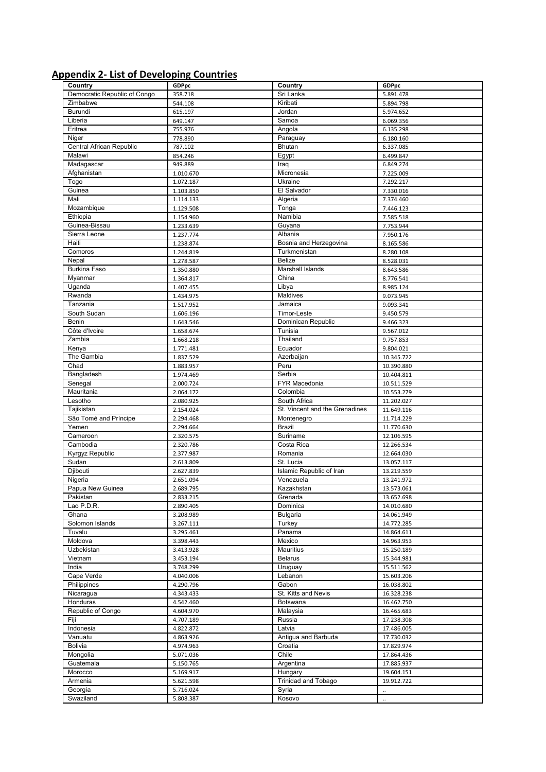# **Appendix 2- List of Developing Countries**

| Country                      | GDPpc     | Country                        | GDPpc      |
|------------------------------|-----------|--------------------------------|------------|
| Democratic Republic of Congo | 358.718   | Sri Lanka                      | 5.891.478  |
| Zimbabwe                     | 544.108   | Kiribati                       | 5.894.798  |
| Burundi                      | 615.197   | Jordan                         | 5.974.652  |
| Liberia                      | 649.147   | Samoa                          | 6.069.356  |
| Eritrea                      | 755.976   | Angola                         | 6.135.298  |
| Niger                        | 778.890   | Paraguay                       | 6.180.160  |
| Central African Republic     | 787.102   | <b>Bhutan</b>                  | 6.337.085  |
| Malawi                       | 854.246   | Egypt                          |            |
|                              |           |                                | 6.499.847  |
| Madagascar                   | 949.889   | Iraq                           | 6.849.274  |
| Afghanistan                  | 1.010.670 | Micronesia                     | 7.225.009  |
| Togo                         | 1.072.187 | Ukraine                        | 7.292.217  |
| Guinea                       | 1.103.850 | El Salvador                    | 7.330.016  |
| Mali                         | 1.114.133 | Algeria                        | 7.374.460  |
| Mozambique                   | 1.129.508 | Tonga                          | 7.446.123  |
| Ethiopia                     | 1.154.960 | Namibia                        | 7.585.518  |
| Guinea-Bissau                | 1.233.639 | Guyana                         | 7.753.944  |
| Sierra Leone                 | 1.237.774 | Albania                        | 7.950.176  |
| Haiti                        | 1.238.874 | Bosnia and Herzegovina         | 8.165.586  |
| Comoros                      |           |                                |            |
|                              | 1.244.819 | Turkmenistan<br>Belize         | 8.280.108  |
| Nepal                        | 1.278.587 |                                | 8.528.031  |
| Burkina Faso                 | 1.350.880 | Marshall Islands               | 8.643.586  |
| Myanmar                      | 1.364.817 | China                          | 8.776.541  |
| Uganda                       | 1.407.455 | Libya                          | 8.985.124  |
| Rwanda                       | 1.434.975 | Maldives                       | 9.073.945  |
| Tanzania                     | 1.517.952 | Jamaica                        | 9.093.341  |
| South Sudan                  | 1.606.196 | Timor-Leste                    | 9.450.579  |
| <b>Benin</b>                 | 1.643.546 | Dominican Republic             | 9.466.323  |
| Côte d'Ivoire                | 1.658.674 | Tunisia                        | 9.567.012  |
| Zambia                       | 1.668.218 | Thailand                       |            |
|                              |           |                                | 9.757.853  |
| Kenya                        | 1.771.481 | Ecuador                        | 9.804.021  |
| The Gambia                   | 1.837.529 | Azerbaijan                     | 10.345.722 |
| Chad                         | 1.883.957 | Peru                           | 10.390.880 |
| Bangladesh                   | 1.974.469 | Serbia                         | 10.404.811 |
| Senegal                      | 2.000.724 | FYR Macedonia                  | 10.511.529 |
| Mauritania                   | 2.064.172 | Colombia                       | 10.553.279 |
| Lesotho                      | 2.080.925 | South Africa                   | 11.202.027 |
|                              |           |                                |            |
|                              |           |                                |            |
| Tajikistan                   | 2.154.024 | St. Vincent and the Grenadines | 11.649.116 |
| São Tomé and Príncipe        | 2.294.468 | Montenegro                     | 11.714.229 |
| Yemen                        | 2.294.664 | Brazil                         | 11.770.630 |
| Cameroon                     | 2.320.575 | Suriname                       | 12.106.595 |
| Cambodia                     | 2.320.786 | Costa Rica                     | 12.266.534 |
| Kyrgyz Republic              | 2.377.987 | Romania                        | 12.664.030 |
| Sudan                        | 2.613.809 | St. Lucia                      | 13.057.117 |
| Djibouti                     | 2.627.839 | Islamic Republic of Iran       | 13.219.559 |
| Nigeria                      | 2.651.094 | Venezuela                      | 13.241.972 |
| Papua New Guinea             | 2.689.795 | Kazakhstan                     | 13.573.061 |
| Pakistan                     |           | Grenada                        | 13.652.698 |
|                              | 2.833.215 |                                |            |
| Lao P.D.R.                   | 2.890.405 | Dominica                       | 14.010.680 |
| Ghana                        | 3.208.989 | Bulgaria                       | 14.061.949 |
| Solomon Islands              | 3.267.111 | Turkey                         | 14.772.285 |
| Tuvalu                       | 3.295.461 | Panama                         | 14.864.611 |
| Moldova                      | 3.398.443 | Mexico                         | 14.963.953 |
| Uzbekistan                   | 3.413.928 | Mauritius                      | 15.250.189 |
| Vietnam                      | 3.453.194 | <b>Belarus</b>                 | 15.344.981 |
| India                        | 3.748.299 | Uruguay                        | 15.511.562 |
| Cape Verde                   | 4.040.006 | Lebanon                        | 15.603.206 |
| Philippines                  | 4.290.796 | Gabon                          | 16.038.802 |
| Nicaragua                    | 4.343.433 | St. Kitts and Nevis            | 16.328.238 |
|                              |           |                                |            |
| Honduras                     | 4.542.460 | Botswana                       | 16.462.750 |
| Republic of Congo            | 4.604.970 | Malaysia                       | 16.465.683 |
| Fiji                         | 4.707.189 | Russia                         | 17.238.308 |
| Indonesia                    | 4.822.872 | Latvia                         | 17.486.005 |
| Vanuatu                      | 4.863.926 | Antigua and Barbuda            | 17.730.032 |
| Bolivia                      | 4.974.963 | Croatia                        | 17.829.974 |
| Mongolia                     | 5.071.036 | Chile                          | 17.864.436 |
| Guatemala                    | 5.150.765 | Argentina                      | 17.885.937 |
| Morocco                      | 5.169.917 | Hungary                        | 19.604.151 |
| Armenia                      | 5.621.598 | <b>Trinidad and Tobago</b>     | 19.912.722 |
| Georgia                      | 5.716.024 | Syria                          |            |
| Swaziland                    | 5.808.387 | Kosovo                         | ä,         |